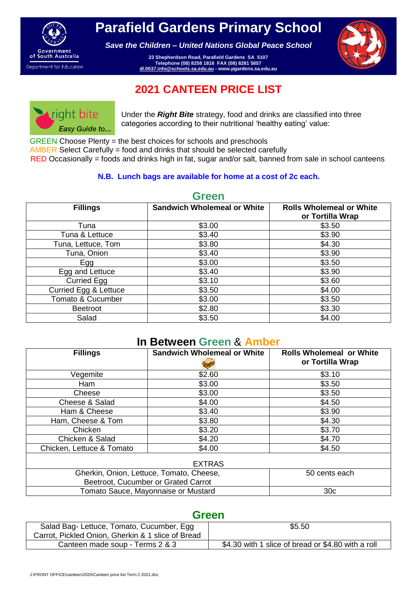

**Parafield Gardens Primary School**

*Save the Children – United Nations Global Peace School*

**23 Shepherdson Road, Parafield Gardens SA 5107 Telephone (08) 8258 1816 FAX (08) 8281 5857 dl.0537.info@schools.sa.edu.au - www.pgardens.sa.edu.au**



# **2021 CANTEEN PRICE LIST**



Under the *Right Bite* strategy, food and drinks are classified into three categories according to their nutritional 'healthy eating' value:

GREEN Choose Plenty = the best choices for schools and preschools

AMBER Select Carefully = food and drinks that should be selected carefully

RED Occasionally = foods and drinks high in fat, sugar and/or salt, banned from sale in school canteens

#### **N.B. Lunch bags are available for home at a cost of 2c each.**

| <b>Fillings</b>       | <b>Sandwich Wholemeal or White</b> | <b>Rolls Wholemeal or White</b><br>or Tortilla Wrap |
|-----------------------|------------------------------------|-----------------------------------------------------|
| Tuna                  | \$3.00                             | \$3.50                                              |
| Tuna & Lettuce        | \$3.40                             | \$3.90                                              |
| Tuna, Lettuce, Tom    | \$3.80                             | \$4.30                                              |
| Tuna, Onion           | \$3.40                             | \$3.90                                              |
| Egg                   | \$3.00                             | \$3.50                                              |
| Egg and Lettuce       | \$3.40                             | \$3.90                                              |
| Curried Egg           | \$3.10                             | \$3.60                                              |
| Curried Egg & Lettuce | \$3.50                             | \$4.00                                              |
| Tomato & Cucumber     | \$3.00                             | \$3.50                                              |
| <b>Beetroot</b>       | \$2.80                             | \$3.30                                              |
| Salad                 | \$3.50                             | \$4.00                                              |

#### **Green**

#### **In Between Green** & **Amber**

| <b>Fillings</b>                          | <b>Sandwich Wholemeal or White</b> | <b>Rolls Wholemeal or White</b><br>or Tortilla Wrap |  |  |  |  |
|------------------------------------------|------------------------------------|-----------------------------------------------------|--|--|--|--|
| Vegemite                                 | \$2.60                             | \$3.10                                              |  |  |  |  |
| Ham                                      | \$3.00                             | \$3.50                                              |  |  |  |  |
| Cheese                                   | \$3.00                             | \$3.50                                              |  |  |  |  |
| Cheese & Salad                           | \$4.00                             | \$4.50                                              |  |  |  |  |
| Ham & Cheese                             | \$3.40                             | \$3.90                                              |  |  |  |  |
| Ham, Cheese & Tom                        | \$3.80                             | \$4.30                                              |  |  |  |  |
| Chicken                                  | \$3.20                             | \$3.70                                              |  |  |  |  |
| Chicken & Salad                          | \$4.20                             | \$4.70                                              |  |  |  |  |
| Chicken, Lettuce & Tomato                | \$4.00                             | \$4.50                                              |  |  |  |  |
| <b>EXTRAS</b>                            |                                    |                                                     |  |  |  |  |
| Gherkin, Onion, Lettuce, Tomato, Cheese, |                                    | 50 cents each                                       |  |  |  |  |
| Beetroot, Cucumber or Grated Carrot      |                                    |                                                     |  |  |  |  |
| Tomato Sauce, Mayonnaise or Mustard      |                                    | 30 <sub>c</sub>                                     |  |  |  |  |

### **Green**

| Salad Bag-Lettuce, Tomato, Cucumber, Egg<br>Carrot, Pickled Onion, Gherkin & 1 slice of Bread | \$5.50                                             |
|-----------------------------------------------------------------------------------------------|----------------------------------------------------|
| Canteen made soup - Terms 2 & 3                                                               | \$4.30 with 1 slice of bread or \$4.80 with a roll |